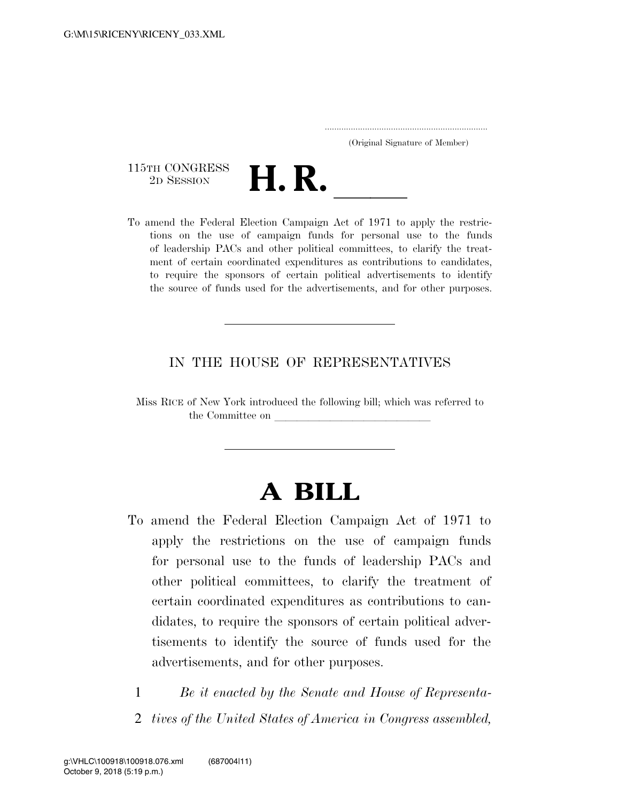..................................................................... (Original Signature of Member)

115TH CONGRESS<br>2D SESSION



115TH CONGRESS<br>
2D SESSION<br>
To amend the Federal Election Campaign Act of 1971 to apply the restrictions on the use of campaign funds for personal use to the funds of leadership PACs and other political committees, to clarify the treatment of certain coordinated expenditures as contributions to candidates, to require the sponsors of certain political advertisements to identify the source of funds used for the advertisements, and for other purposes.

### IN THE HOUSE OF REPRESENTATIVES

Miss RICE of New York introduced the following bill; which was referred to the Committee on

## **A BILL**

- To amend the Federal Election Campaign Act of 1971 to apply the restrictions on the use of campaign funds for personal use to the funds of leadership PACs and other political committees, to clarify the treatment of certain coordinated expenditures as contributions to candidates, to require the sponsors of certain political advertisements to identify the source of funds used for the advertisements, and for other purposes.
	- 1 *Be it enacted by the Senate and House of Representa-*2 *tives of the United States of America in Congress assembled,*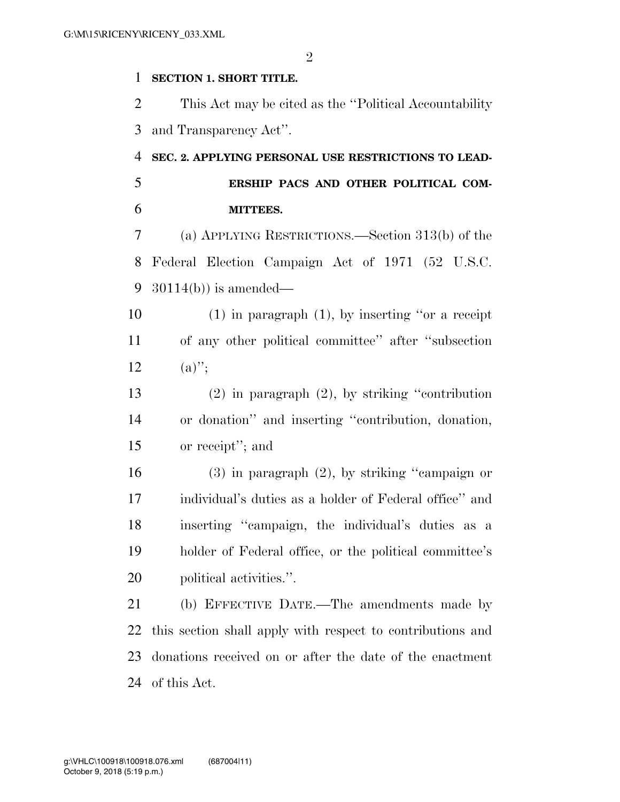### **SECTION 1. SHORT TITLE.**

 This Act may be cited as the ''Political Accountability and Transparency Act''.

# **SEC. 2. APPLYING PERSONAL USE RESTRICTIONS TO LEAD-**

 **ERSHIP PACS AND OTHER POLITICAL COM-MITTEES.** 

 (a) APPLYING RESTRICTIONS.—Section 313(b) of the Federal Election Campaign Act of 1971 (52 U.S.C. 30114(b)) is amended—

 (1) in paragraph (1), by inserting ''or a receipt of any other political committee'' after ''subsection 12  $(a)''$ ;

 (2) in paragraph (2), by striking ''contribution or donation'' and inserting ''contribution, donation, or receipt''; and

 (3) in paragraph (2), by striking ''campaign or individual's duties as a holder of Federal office'' and inserting ''campaign, the individual's duties as a holder of Federal office, or the political committee's political activities.''.

 (b) EFFECTIVE DATE.—The amendments made by this section shall apply with respect to contributions and donations received on or after the date of the enactment of this Act.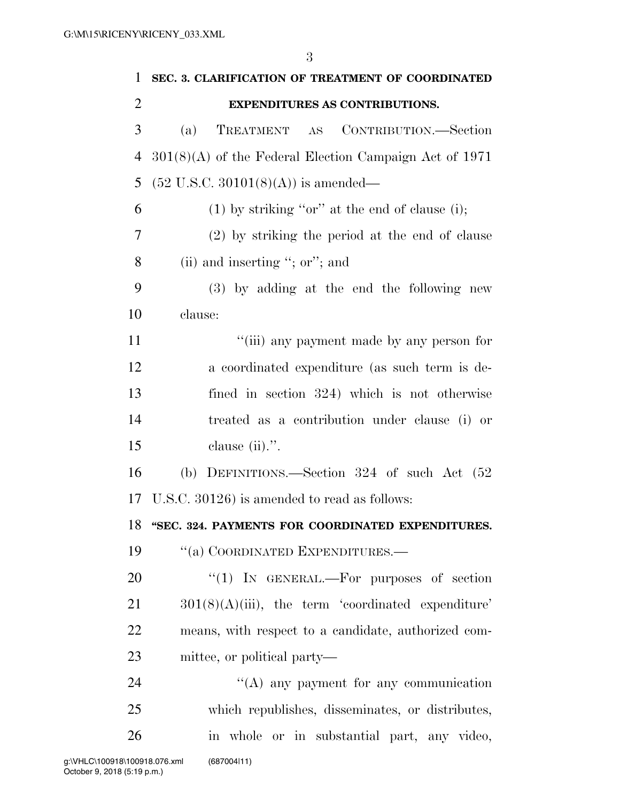| $\mathbf{1}$   | SEC. 3. CLARIFICATION OF TREATMENT OF COORDINATED        |
|----------------|----------------------------------------------------------|
| $\overline{2}$ | <b>EXPENDITURES AS CONTRIBUTIONS.</b>                    |
| 3              | CONTRIBUTION.—Section<br>TREATMENT AS<br>(a)             |
| 4              | $301(8)(A)$ of the Federal Election Campaign Act of 1971 |
| 5              | $(52 \text{ U.S.C. } 30101(8)(\text{A}))$ is amended—    |
| 6              | $(1)$ by striking "or" at the end of clause (i);         |
| 7              | (2) by striking the period at the end of clause          |
| 8              | (ii) and inserting "; or"; and                           |
| 9              | (3) by adding at the end the following new               |
| 10             | clause:                                                  |
| 11             | "(iii) any payment made by any person for                |
| 12             | a coordinated expenditure (as such term is de-           |
| 13             | fined in section 324) which is not otherwise             |
| 14             | treated as a contribution under clause (i) or            |
| 15             | clause $(ii)$ .".                                        |
| 16             | (b) DEFINITIONS.—Section $324$ of such Act $(52)$        |
| 17             | U.S.C. 30126) is amended to read as follows:             |
| 18             | "SEC. 324. PAYMENTS FOR COORDINATED EXPENDITURES.        |
| 19             | "(a) COORDINATED EXPENDITURES.-                          |
| 20             | "(1) IN GENERAL.—For purposes of section                 |
| 21             | $301(8)(A)(iii)$ , the term 'coordinated expenditure'    |
| 22             | means, with respect to a candidate, authorized com-      |
| 23             | mittee, or political party—                              |
| 24             | $\lq\lq$ any payment for any communication               |
| 25             | which republishes, disseminates, or distributes,         |
| 26             | in whole or in substantial part, any video,              |
|                |                                                          |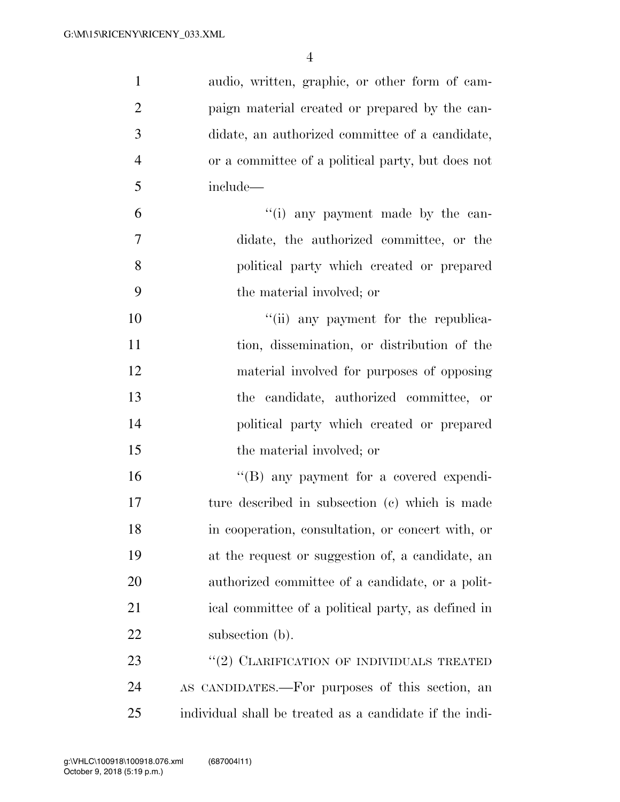| $\mathbf{1}$   | audio, written, graphic, or other form of cam-          |
|----------------|---------------------------------------------------------|
| $\overline{2}$ | paign material created or prepared by the can-          |
| 3              | didate, an authorized committee of a candidate,         |
| $\overline{4}$ | or a committee of a political party, but does not       |
| 5              | include—                                                |
| 6              | "(i) any payment made by the can-                       |
| $\tau$         | didate, the authorized committee, or the                |
| 8              | political party which created or prepared               |
| 9              | the material involved; or                               |
| 10             | "(ii) any payment for the republica-                    |
| 11             | tion, dissemination, or distribution of the             |
| 12             | material involved for purposes of opposing              |
| 13             | the candidate, authorized committee, or                 |
| 14             | political party which created or prepared               |
| 15             | the material involved; or                               |
| 16             | "(B) any payment for a covered expendi-                 |
| 17             | ture described in subsection (c) which is made          |
| 18             | in cooperation, consultation, or concert with, or       |
| 19             | at the request or suggestion of, a candidate, an        |
| 20             | authorized committee of a candidate, or a polit-        |
| 21             | ical committee of a political party, as defined in      |
| 22             | subsection (b).                                         |
| 23             | "(2) CLARIFICATION OF INDIVIDUALS TREATED               |
| 24             | AS CANDIDATES.—For purposes of this section, an         |
| 25             | individual shall be treated as a candidate if the indi- |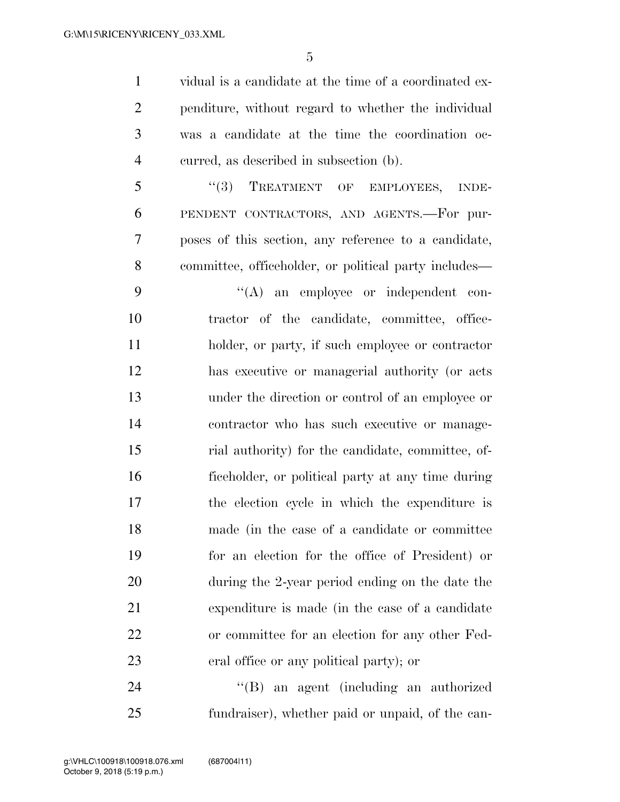vidual is a candidate at the time of a coordinated ex- penditure, without regard to whether the individual was a candidate at the time the coordination oc-curred, as described in subsection (b).

5 "(3) TREATMENT OF EMPLOYEES, INDE- PENDENT CONTRACTORS, AND AGENTS.—For pur- poses of this section, any reference to a candidate, committee, officeholder, or political party includes—

 $\langle (A)$  an employee or independent con- tractor of the candidate, committee, office- holder, or party, if such employee or contractor has executive or managerial authority (or acts under the direction or control of an employee or contractor who has such executive or manage- rial authority) for the candidate, committee, of- ficeholder, or political party at any time during the election cycle in which the expenditure is made (in the case of a candidate or committee for an election for the office of President) or during the 2-year period ending on the date the expenditure is made (in the case of a candidate or committee for an election for any other Fed-eral office or any political party); or

 ''(B) an agent (including an authorized fundraiser), whether paid or unpaid, of the can-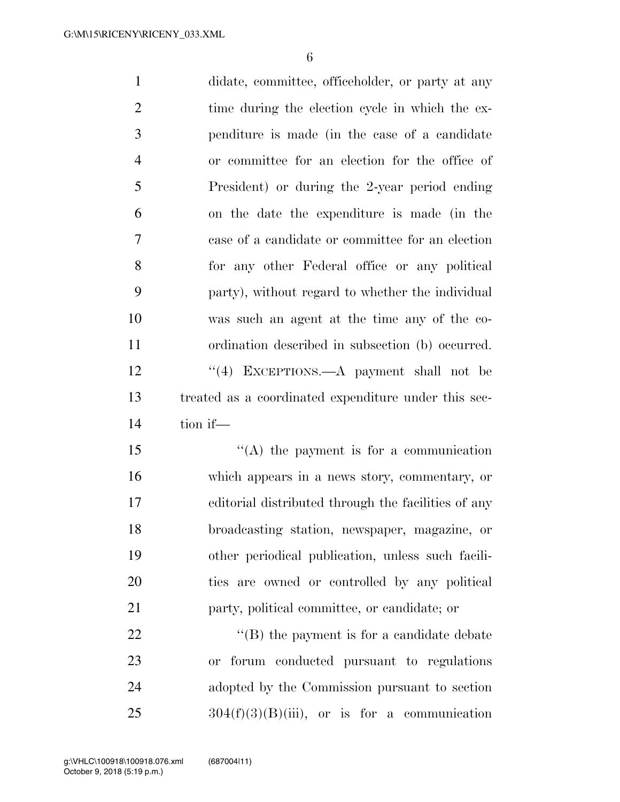didate, committee, officeholder, or party at any 2 time during the election cycle in which the ex- penditure is made (in the case of a candidate or committee for an election for the office of President) or during the 2-year period ending on the date the expenditure is made (in the case of a candidate or committee for an election for any other Federal office or any political party), without regard to whether the individual was such an agent at the time any of the co- ordination described in subsection (b) occurred. 12 ''(4) EXCEPTIONS.—A payment shall not be treated as a coordinated expenditure under this sec- tion if—  $\langle (A)$  the payment is for a communication which appears in a news story, commentary, or editorial distributed through the facilities of any broadcasting station, newspaper, magazine, or other periodical publication, unless such facili- ties are owned or controlled by any political party, political committee, or candidate; or

 $\bullet$  (B) the payment is for a candidate debate or forum conducted pursuant to regulations adopted by the Commission pursuant to section 304(f)(3)(B)(iii), or is for a communication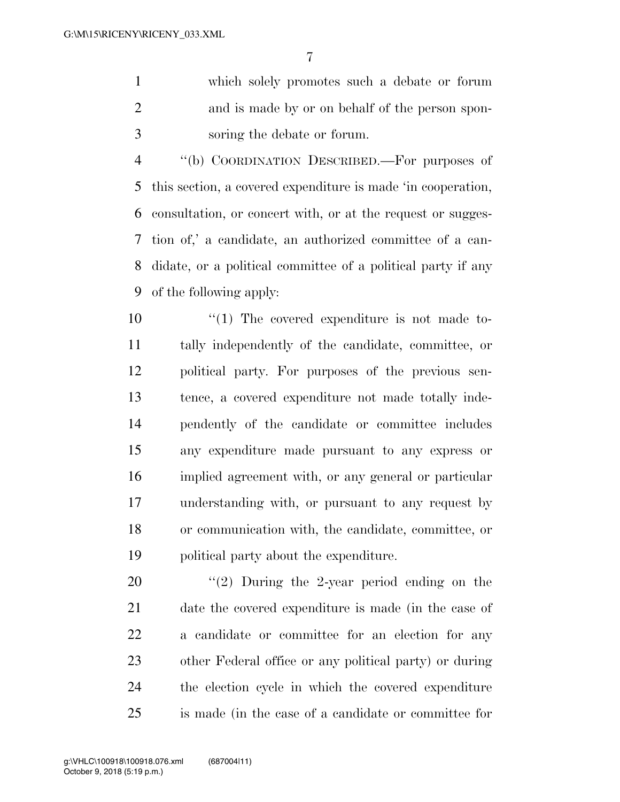which solely promotes such a debate or forum and is made by or on behalf of the person spon-soring the debate or forum.

 ''(b) COORDINATION DESCRIBED.—For purposes of this section, a covered expenditure is made 'in cooperation, consultation, or concert with, or at the request or sugges- tion of,' a candidate, an authorized committee of a can- didate, or a political committee of a political party if any of the following apply:

 $\frac{10}{10}$  The covered expenditure is not made to- tally independently of the candidate, committee, or political party. For purposes of the previous sen- tence, a covered expenditure not made totally inde- pendently of the candidate or committee includes any expenditure made pursuant to any express or implied agreement with, or any general or particular understanding with, or pursuant to any request by or communication with, the candidate, committee, or political party about the expenditure.

 $\frac{1}{2}$  During the 2-year period ending on the date the covered expenditure is made (in the case of a candidate or committee for an election for any other Federal office or any political party) or during the election cycle in which the covered expenditure is made (in the case of a candidate or committee for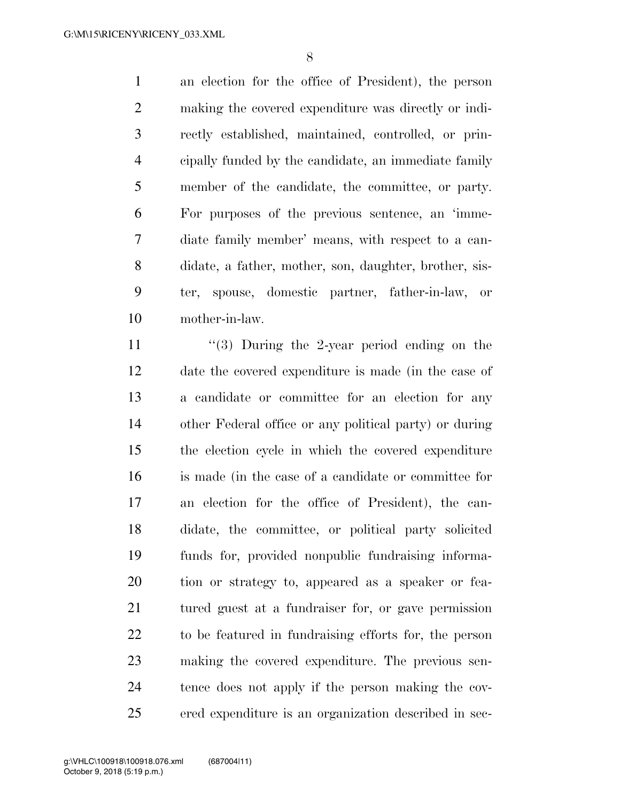an election for the office of President), the person making the covered expenditure was directly or indi- rectly established, maintained, controlled, or prin- cipally funded by the candidate, an immediate family member of the candidate, the committee, or party. For purposes of the previous sentence, an 'imme- diate family member' means, with respect to a can- didate, a father, mother, son, daughter, brother, sis- ter, spouse, domestic partner, father-in-law, or mother-in-law.

11 ''(3) During the 2-year period ending on the date the covered expenditure is made (in the case of a candidate or committee for an election for any other Federal office or any political party) or during the election cycle in which the covered expenditure is made (in the case of a candidate or committee for an election for the office of President), the can- didate, the committee, or political party solicited funds for, provided nonpublic fundraising informa- tion or strategy to, appeared as a speaker or fea- tured guest at a fundraiser for, or gave permission to be featured in fundraising efforts for, the person making the covered expenditure. The previous sen- tence does not apply if the person making the cov-ered expenditure is an organization described in sec-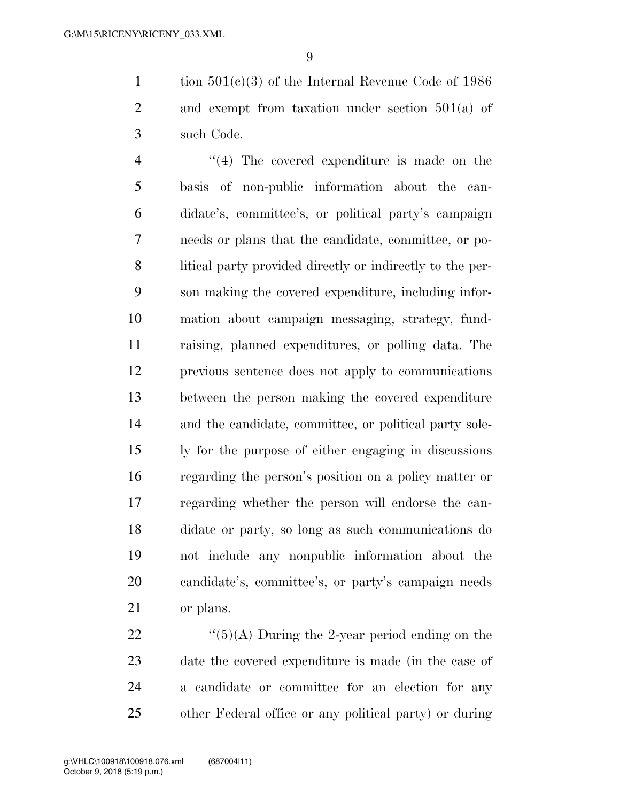tion 501(c)(3) of the Internal Revenue Code of 1986 2 and exempt from taxation under section 501(a) of such Code.

4 ''(4) The covered expenditure is made on the basis of non-public information about the can- didate's, committee's, or political party's campaign needs or plans that the candidate, committee, or po- litical party provided directly or indirectly to the per- son making the covered expenditure, including infor- mation about campaign messaging, strategy, fund- raising, planned expenditures, or polling data. The previous sentence does not apply to communications between the person making the covered expenditure and the candidate, committee, or political party sole- ly for the purpose of either engaging in discussions regarding the person's position on a policy matter or regarding whether the person will endorse the can- didate or party, so long as such communications do not include any nonpublic information about the candidate's, committee's, or party's campaign needs or plans.

 $\frac{((5)(A)}{During}$  the 2-year period ending on the date the covered expenditure is made (in the case of a candidate or committee for an election for any other Federal office or any political party) or during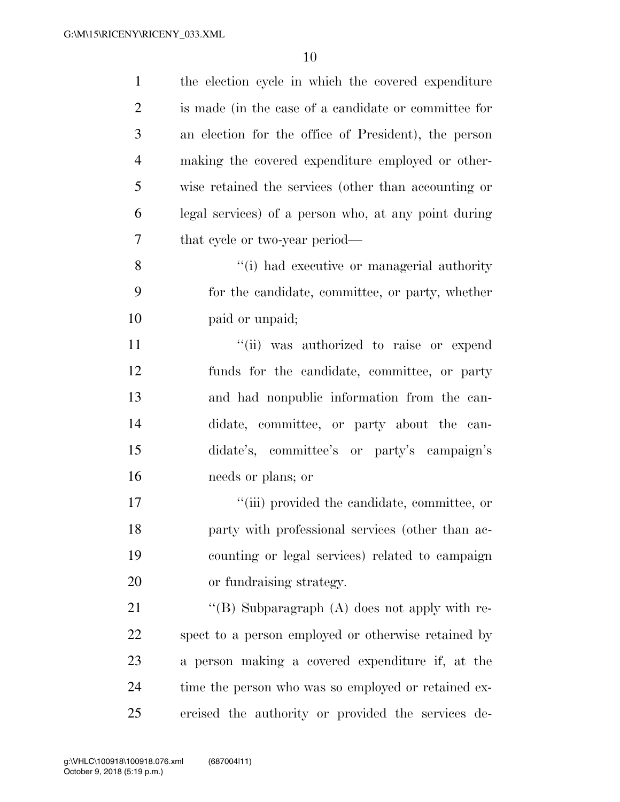| $\mathbf{1}$   | the election cycle in which the covered expenditure  |
|----------------|------------------------------------------------------|
| $\overline{2}$ | is made (in the case of a candidate or committee for |
| 3              | an election for the office of President), the person |
| 4              | making the covered expenditure employed or other-    |
| 5              | wise retained the services (other than accounting or |
| 6              | legal services) of a person who, at any point during |
| 7              | that cycle or two-year period—                       |
| 8              | "(i) had executive or managerial authority           |
| 9              | for the candidate, committee, or party, whether      |
| 10             | paid or unpaid;                                      |
| 11             | "(ii) was authorized to raise or expend              |
| 12             | funds for the candidate, committee, or party         |
| 13             | and had nonpublic information from the can-          |
| 14             | didate, committee, or party about the can-           |
| 15             | didate's, committee's or party's campaign's          |
| 16             | needs or plans; or                                   |
| 17             | "(iii) provided the candidate, committee, or         |
| 18             | party with professional services (other than ac-     |
| 19             | counting or legal services) related to campaign      |
| 20             | or fundraising strategy.                             |
| 21             | "(B) Subparagraph $(A)$ does not apply with re-      |
| 22             | spect to a person employed or otherwise retained by  |
| 23             | a person making a covered expenditure if, at the     |
| 24             | time the person who was so employed or retained ex-  |
| 25             | ercised the authority or provided the services de-   |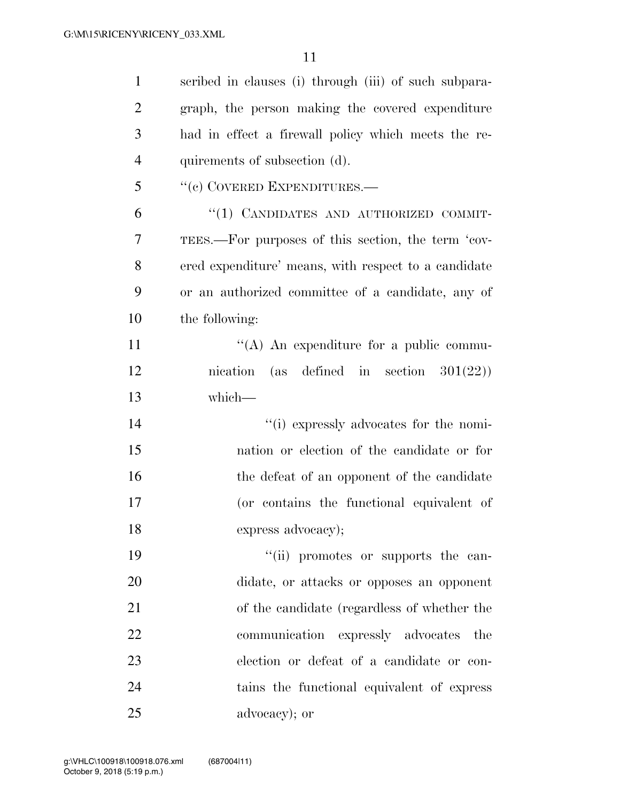| $\mathbf{1}$   | scribed in clauses (i) through (iii) of such subpara- |
|----------------|-------------------------------------------------------|
| $\overline{2}$ | graph, the person making the covered expenditure      |
| 3              | had in effect a firewall policy which meets the re-   |
| $\overline{4}$ | quirements of subsection (d).                         |
| 5              | "(c) COVERED EXPENDITURES.-                           |
| 6              | "(1) CANDIDATES AND AUTHORIZED COMMIT-                |
| 7              | TEES.—For purposes of this section, the term 'cov-    |
| 8              | ered expenditure' means, with respect to a candidate  |
| 9              | or an authorized committee of a candidate, any of     |
| 10             | the following:                                        |
| 11             | "(A) An expenditure for a public commu-               |
| 12             | nication (as defined in section $301(22)$ )           |
| 13             | which-                                                |
| 14             | "(i) expressly advocates for the nomi-                |
| 15             | nation or election of the candidate or for            |
| 16             | the defeat of an opponent of the candidate            |
| 17             | (or contains the functional equivalent of             |
| 18             | express advocacy);                                    |
| 19             | "(ii) promotes or supports the can-                   |
| 20             | didate, or attacks or opposes an opponent             |
| 21             | of the candidate (regardless of whether the           |
| 22             | communication expressly advocates<br>the              |
| 23             | election or defeat of a candidate or con-             |
| 24             | tains the functional equivalent of express            |
| 25             | advocacy); or                                         |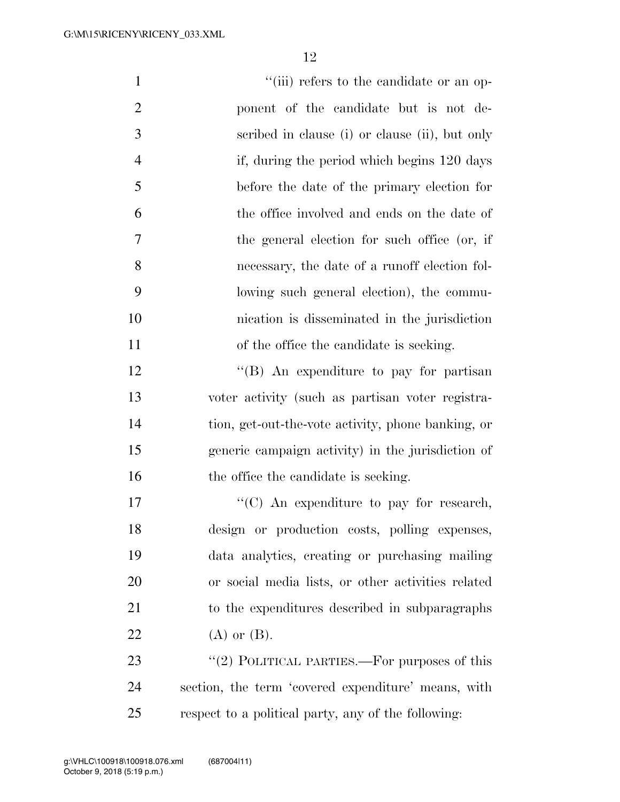| $\mathbf{1}$   | "(iii) refers to the candidate or an op-            |
|----------------|-----------------------------------------------------|
| $\overline{2}$ | ponent of the candidate but is not de-              |
| 3              | scribed in clause (i) or clause (ii), but only      |
| $\overline{4}$ | if, during the period which begins 120 days         |
| 5              | before the date of the primary election for         |
| 6              | the office involved and ends on the date of         |
| 7              | the general election for such office (or, if        |
| 8              | necessary, the date of a runoff election fol-       |
| 9              | lowing such general election), the commu-           |
| 10             | nication is disseminated in the jurisdiction        |
| 11             | of the office the candidate is seeking.             |
| 12             | "(B) An expenditure to pay for partisan             |
| 13             | voter activity (such as partisan voter registra-    |
| 14             | tion, get-out-the-vote activity, phone banking, or  |
| 15             | generic campaign activity) in the jurisdiction of   |
| 16             | the office the candidate is seeking.                |
| 17             | "(C) An expenditure to pay for research,            |
| 18             | design or production costs, polling expenses,       |
| 19             | data analytics, creating or purchasing mailing      |
| 20             | or social media lists, or other activities related  |
| 21             | to the expenditures described in subparagraphs      |
| 22             | $(A)$ or $(B)$ .                                    |
| 23             | "(2) POLITICAL PARTIES.—For purposes of this        |
| 24             | section, the term 'covered expenditure' means, with |

respect to a political party, any of the following: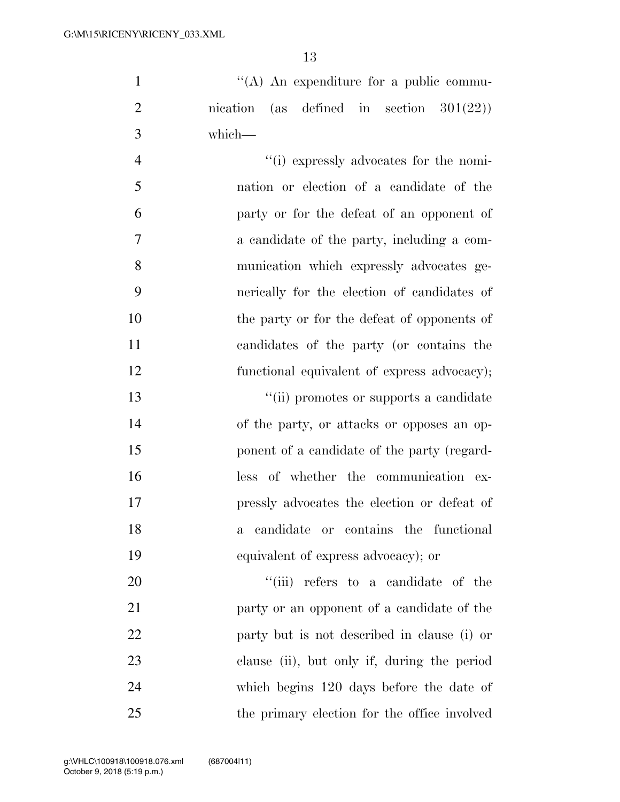1  $\langle (A) \rangle$  An expenditure for a public commu- nication (as defined in section 301(22)) which—

 ''(i) expressly advocates for the nomi- nation or election of a candidate of the party or for the defeat of an opponent of a candidate of the party, including a com- munication which expressly advocates ge- nerically for the election of candidates of the party or for the defeat of opponents of candidates of the party (or contains the functional equivalent of express advocacy);

 ''(ii) promotes or supports a candidate of the party, or attacks or opposes an op-15 ponent of a candidate of the party (regard- less of whether the communication ex- pressly advocates the election or defeat of a candidate or contains the functional equivalent of express advocacy); or

 $\frac{1}{1}$  (iii) refers to a candidate of the party or an opponent of a candidate of the party but is not described in clause (i) or clause (ii), but only if, during the period which begins 120 days before the date of the primary election for the office involved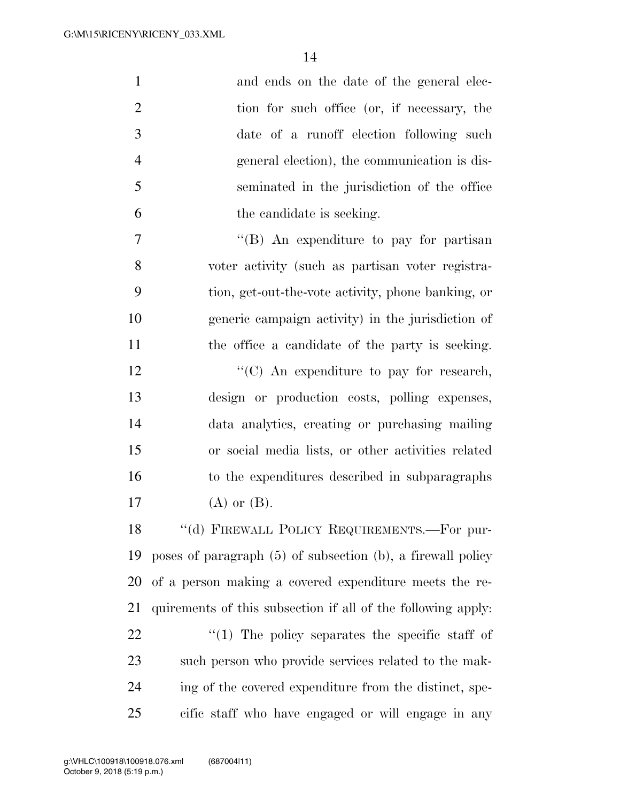| $\mathbf{1}$   | and ends on the date of the general elec-                        |
|----------------|------------------------------------------------------------------|
| $\overline{2}$ | tion for such office (or, if necessary, the                      |
| 3              | date of a runoff election following such                         |
| $\overline{4}$ | general election), the communication is dis-                     |
| 5              | seminated in the jurisdiction of the office                      |
| 6              | the candidate is seeking.                                        |
| 7              | "(B) An expenditure to pay for partisan                          |
| 8              | voter activity (such as partisan voter registra-                 |
| 9              | tion, get-out-the-vote activity, phone banking, or               |
| 10             | generic campaign activity) in the jurisdiction of                |
| 11             | the office a candidate of the party is seeking.                  |
| 12             | "(C) An expenditure to pay for research,                         |
| 13             | design or production costs, polling expenses,                    |
| 14             | data analytics, creating or purchasing mailing                   |
| 15             | or social media lists, or other activities related               |
| 16             | to the expenditures described in subparagraphs                   |
| 17             | $(A)$ or $(B)$ .                                                 |
| 18             | "(d) FIREWALL POLICY REQUIREMENTS.—For pur-                      |
| 19             | poses of paragraph $(5)$ of subsection $(b)$ , a firewall policy |
| 20             | of a person making a covered expenditure meets the re-           |
| 21             | quirements of this subsection if all of the following apply.     |
| 22             | $\lq(1)$ The policy separates the specific staff of              |
| 23             | such person who provide services related to the mak-             |
| 24             | ing of the covered expenditure from the distinct, spe-           |
| 25             | cific staff who have engaged or will engage in any               |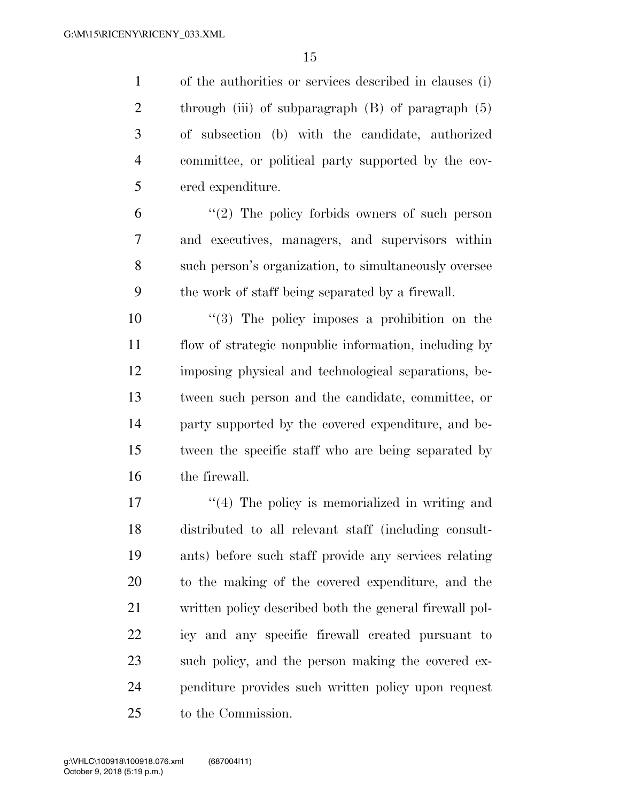of the authorities or services described in clauses (i) 2 through (iii) of subparagraph (B) of paragraph (5) of subsection (b) with the candidate, authorized committee, or political party supported by the cov-ered expenditure.

 ''(2) The policy forbids owners of such person and executives, managers, and supervisors within such person's organization, to simultaneously oversee the work of staff being separated by a firewall.

 ''(3) The policy imposes a prohibition on the flow of strategic nonpublic information, including by imposing physical and technological separations, be- tween such person and the candidate, committee, or party supported by the covered expenditure, and be- tween the specific staff who are being separated by the firewall.

17 ''(4) The policy is memorialized in writing and distributed to all relevant staff (including consult- ants) before such staff provide any services relating to the making of the covered expenditure, and the written policy described both the general firewall pol- icy and any specific firewall created pursuant to such policy, and the person making the covered ex- penditure provides such written policy upon request to the Commission.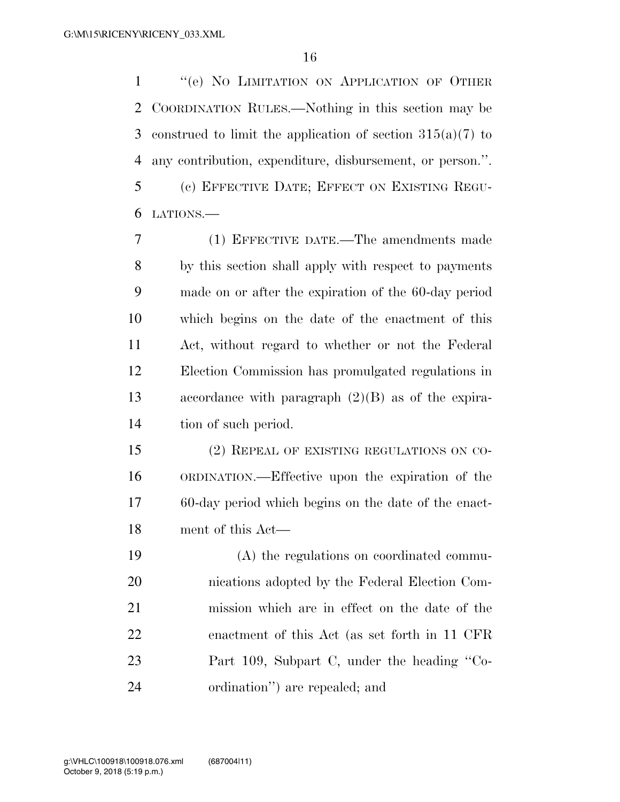''(e) NO LIMITATION ON APPLICATION OF OTHER COORDINATION RULES.—Nothing in this section may be construed to limit the application of section 315(a)(7) to any contribution, expenditure, disbursement, or person.''. (c) EFFECTIVE DATE; EFFECT ON EXISTING REGU-LATIONS.—

 (1) EFFECTIVE DATE.—The amendments made by this section shall apply with respect to payments made on or after the expiration of the 60-day period which begins on the date of the enactment of this Act, without regard to whether or not the Federal Election Commission has promulgated regulations in accordance with paragraph (2)(B) as of the expira-tion of such period.

 (2) REPEAL OF EXISTING REGULATIONS ON CO- ORDINATION.—Effective upon the expiration of the 60-day period which begins on the date of the enact-ment of this Act—

 (A) the regulations on coordinated commu- nications adopted by the Federal Election Com- mission which are in effect on the date of the enactment of this Act (as set forth in 11 CFR Part 109, Subpart C, under the heading ''Co-ordination'') are repealed; and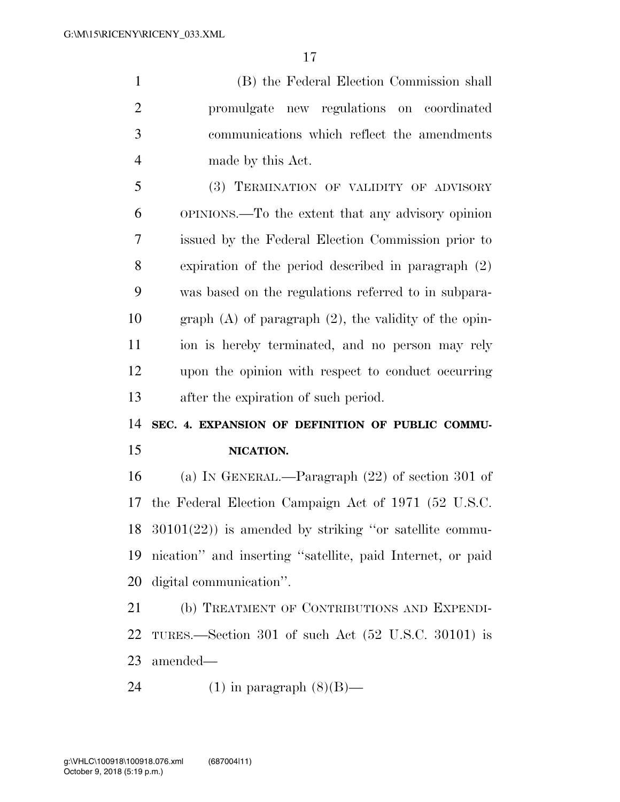(B) the Federal Election Commission shall promulgate new regulations on coordinated communications which reflect the amendments made by this Act.

 (3) TERMINATION OF VALIDITY OF ADVISORY OPINIONS.—To the extent that any advisory opinion issued by the Federal Election Commission prior to expiration of the period described in paragraph (2) was based on the regulations referred to in subpara- graph (A) of paragraph (2), the validity of the opin- ion is hereby terminated, and no person may rely upon the opinion with respect to conduct occurring after the expiration of such period.

**SEC. 4. EXPANSION OF DEFINITION OF PUBLIC COMMU-**

#### **NICATION.**

 (a) IN GENERAL.—Paragraph (22) of section 301 of the Federal Election Campaign Act of 1971 (52 U.S.C. 30101(22)) is amended by striking ''or satellite commu- nication'' and inserting ''satellite, paid Internet, or paid digital communication''.

 (b) TREATMENT OF CONTRIBUTIONS AND EXPENDI- TURES.—Section 301 of such Act (52 U.S.C. 30101) is amended—

24 (1) in paragraph  $(8)(B)$ —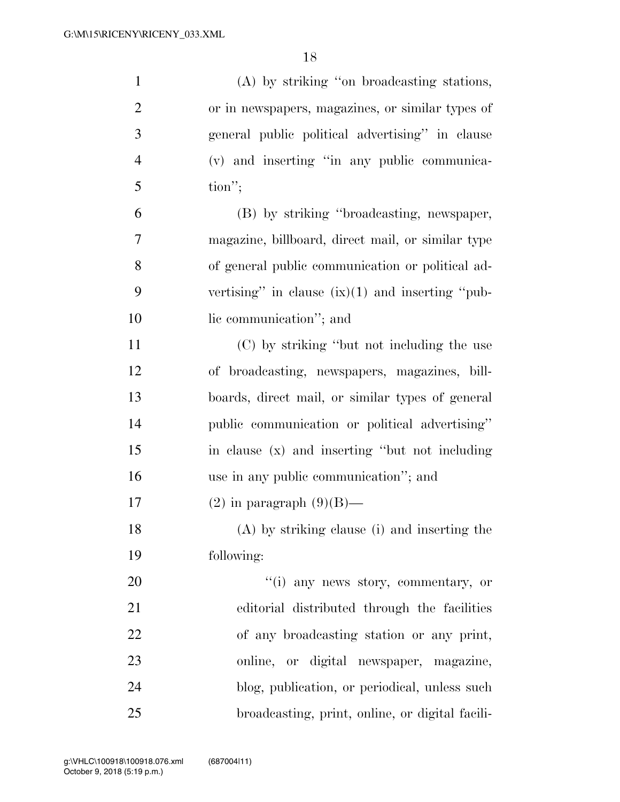| $\mathbf{1}$   | (A) by striking "on broadcasting stations,         |
|----------------|----------------------------------------------------|
| $\overline{2}$ | or in newspapers, magazines, or similar types of   |
| 3              | general public political advertising" in clause    |
| $\overline{4}$ | (v) and inserting "in any public communica-        |
| 5              | $\text{tion}''$                                    |
| 6              | (B) by striking "broadcasting, newspaper,          |
| 7              | magazine, billboard, direct mail, or similar type  |
| 8              | of general public communication or political ad-   |
| 9              | vertising" in clause $(ix)(1)$ and inserting "pub- |
| 10             | lic communication"; and                            |
| 11             | (C) by striking "but not including the use         |
| 12             | of broadcasting, newspapers, magazines, bill-      |
| 13             | boards, direct mail, or similar types of general   |
| 14             | public communication or political advertising"     |
| 15             | in clause (x) and inserting "but not including     |
| 16             | use in any public communication"; and              |
| 17             | $(2)$ in paragraph $(9)(B)$ —                      |
| 18             | (A) by striking clause (i) and inserting the       |
| 19             | following:                                         |
| 20             | "(i) any news story, commentary, or                |
| 21             | editorial distributed through the facilities       |
| 22             | of any broadcasting station or any print,          |
| 23             | online, or digital newspaper, magazine,            |
| 24             | blog, publication, or periodical, unless such      |
| 25             | broadcasting, print, online, or digital facili-    |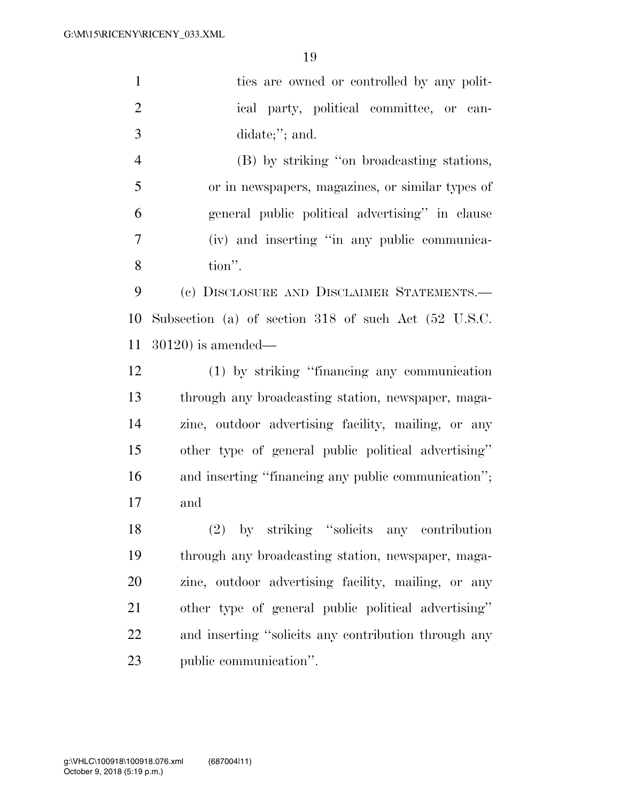| $\mathbf{1}$   | ties are owned or controlled by any polit-           |
|----------------|------------------------------------------------------|
| $\mathfrak{2}$ | ical party, political committee, or can-             |
| 3              | didate;"; and.                                       |
| $\overline{4}$ | (B) by striking "on broadcasting stations,           |
| 5              | or in newspapers, magazines, or similar types of     |
| 6              | general public political advertising" in clause      |
| 7              | (iv) and inserting "in any public communica-         |
| 8              | tion".                                               |
| 9              | (c) DISCLOSURE AND DISCLAIMER STATEMENTS.-           |
| 10             | Subsection (a) of section 318 of such Act (52 U.S.C. |
| 11             | $30120$ ) is amended—                                |
| 12             | (1) by striking "financing any communication         |
| 13             | through any broadcasting station, newspaper, maga-   |
| 14             | zine, outdoor advertising facility, mailing, or any  |
| 15             | other type of general public political advertising"  |
| 16             | and inserting "financing any public communication";  |
| 17             | and                                                  |
| 18             | (2) by striking "solicits any contribution           |
| 19             | through any broadcasting station, newspaper, maga-   |
| 20             | zine, outdoor advertising facility, mailing, or any  |
| 21             | other type of general public political advertising"  |
| 22             | and inserting "solicits any contribution through any |
| 23             | public communication".                               |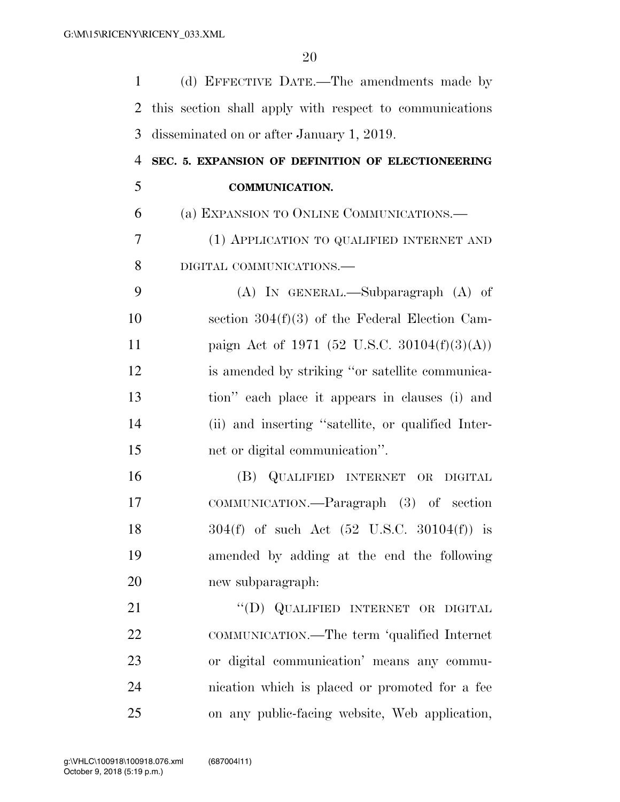| $\mathbf{1}$   | (d) EFFECTIVE DATE.—The amendments made by              |
|----------------|---------------------------------------------------------|
| 2              | this section shall apply with respect to communications |
| 3              | disseminated on or after January 1, 2019.               |
| $\overline{4}$ | SEC. 5. EXPANSION OF DEFINITION OF ELECTIONEERING       |
| 5              | <b>COMMUNICATION.</b>                                   |
| 6              | (a) EXPANSION TO ONLINE COMMUNICATIONS.—                |
| 7              | (1) APPLICATION TO QUALIFIED INTERNET AND               |
| 8              | DIGITAL COMMUNICATIONS.-                                |
| 9              | $(A)$ IN GENERAL.—Subparagraph $(A)$ of                 |
| 10             | section $304(f)(3)$ of the Federal Election Cam-        |
| 11             | paign Act of 1971 (52 U.S.C. 30104 $(f)(3)(A)$ )        |
| 12             | is amended by striking "or satellite communica-         |
| 13             | tion" each place it appears in clauses (i) and          |
| 14             | (ii) and inserting "satellite, or qualified Inter-      |
| 15             | net or digital communication".                          |
| 16             | (B) QUALIFIED INTERNET OR DIGITAL                       |
| 17             | COMMUNICATION.—Paragraph (3) of section                 |
| 18             | $304(f)$ of such Act $(52 \text{ U.S.C. } 30104(f))$ is |
| 19             | amended by adding at the end the following              |
| 20             | new subparagraph:                                       |
| 21             | "(D) QUALIFIED INTERNET OR DIGITAL                      |
| 22             | COMMUNICATION.—The term 'qualified Internet             |
| 23             | or digital communication' means any commu-              |
| 24             | nication which is placed or promoted for a fee          |
| 25             | on any public-facing website, Web application,          |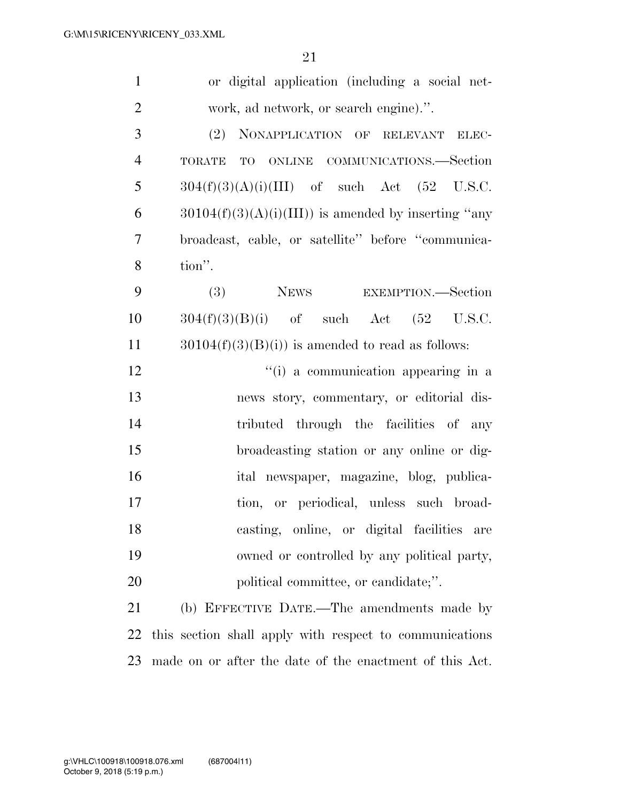| $\mathbf{1}$   | or digital application (including a social net-         |
|----------------|---------------------------------------------------------|
| $\overline{2}$ | work, ad network, or search engine).".                  |
| 3              | (2)<br>NONAPPLICATION OF RELEVANT ELEC-                 |
| $\overline{4}$ | TORATE TO ONLINE COMMUNICATIONS.-Section                |
| 5              | $304(f)(3)(A)(i)(III)$ of such Act (52 U.S.C.           |
| 6              | $30104(f)(3)(A)(i)(III))$ is amended by inserting "any  |
| $\overline{7}$ | broadcast, cable, or satellite" before "communica-      |
| 8              | tion".                                                  |
| 9              | NEWS EXEMPTION.—Section<br>(3)                          |
| 10             | $304(f)(3)(B)(i)$ of such Act $(52 \text{ U.S.C.})$     |
| 11             | $30104(f)(3)(B)(i)$ is amended to read as follows:      |
| 12             | "(i) a communication appearing in a                     |
| 13             | news story, commentary, or editorial dis-               |
| 14             | tributed through the facilities of any                  |
| 15             | broadcasting station or any online or dig-              |
| 16             | ital newspaper, magazine, blog, publica-                |
| 17             | tion, or periodical, unless such broad-                 |
| 18             | casting, online, or digital facilities<br>are           |
| 19             | owned or controlled by any political party,             |
| 20             | political committee, or candidate;".                    |
| 21             | (b) EFFECTIVE DATE.—The amendments made by              |
| 22             | this section shall apply with respect to communications |
| 23             | made on or after the date of the enactment of this Act. |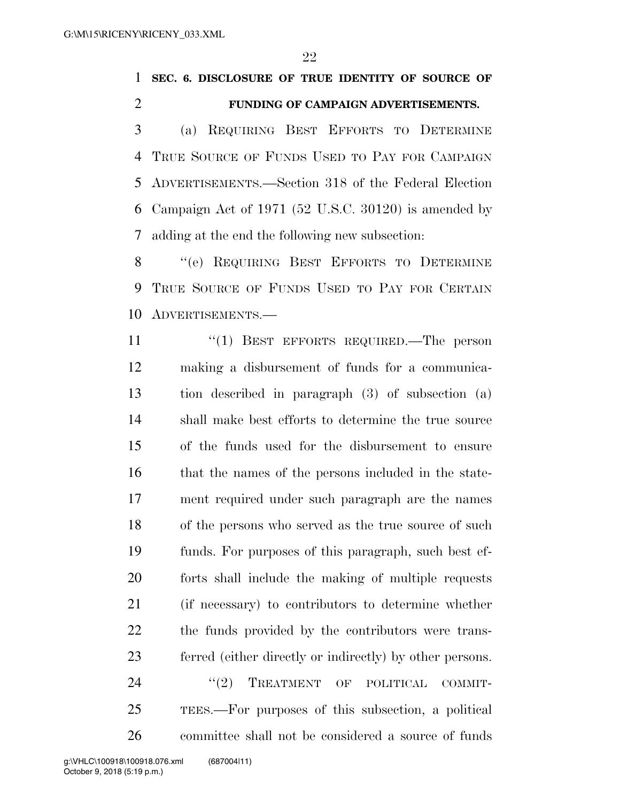### **SEC. 6. DISCLOSURE OF TRUE IDENTITY OF SOURCE OF FUNDING OF CAMPAIGN ADVERTISEMENTS.**

 (a) REQUIRING BEST EFFORTS TO DETERMINE TRUE SOURCE OF FUNDS USED TO PAY FOR CAMPAIGN ADVERTISEMENTS.—Section 318 of the Federal Election Campaign Act of 1971 (52 U.S.C. 30120) is amended by adding at the end the following new subsection:

 ''(e) REQUIRING BEST EFFORTS TO DETERMINE TRUE SOURCE OF FUNDS USED TO PAY FOR CERTAIN ADVERTISEMENTS.—

11 "(1) BEST EFFORTS REQUIRED.—The person making a disbursement of funds for a communica- tion described in paragraph (3) of subsection (a) shall make best efforts to determine the true source of the funds used for the disbursement to ensure that the names of the persons included in the state- ment required under such paragraph are the names of the persons who served as the true source of such funds. For purposes of this paragraph, such best ef- forts shall include the making of multiple requests (if necessary) to contributors to determine whether the funds provided by the contributors were trans- ferred (either directly or indirectly) by other persons. 24 "(2) TREATMENT OF POLITICAL COMMIT- TEES.—For purposes of this subsection, a political committee shall not be considered a source of funds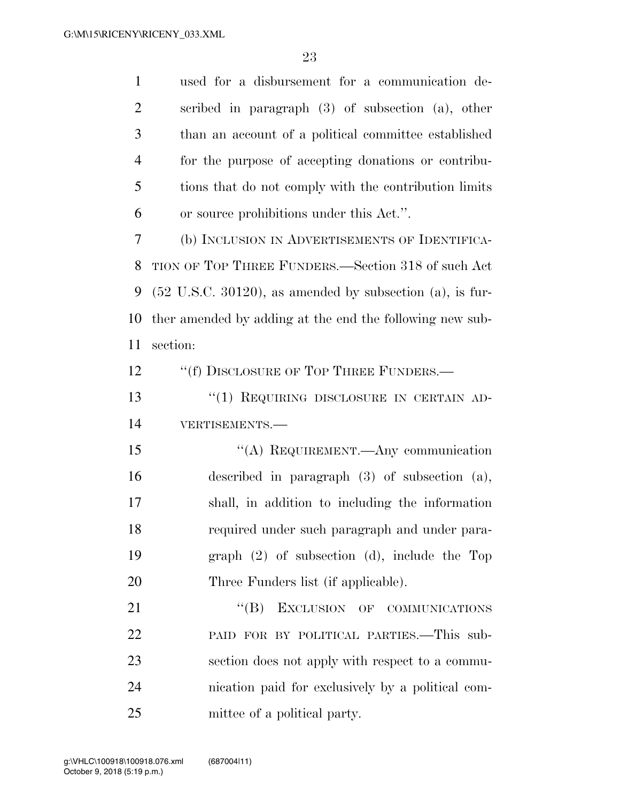| $\mathbf{1}$   | used for a disbursement for a communication de-                         |
|----------------|-------------------------------------------------------------------------|
| $\overline{2}$ | scribed in paragraph $(3)$ of subsection $(a)$ , other                  |
| 3              | than an account of a political committee established                    |
| $\overline{4}$ | for the purpose of accepting donations or contribu-                     |
| 5              | tions that do not comply with the contribution limits                   |
| 6              | or source prohibitions under this Act.".                                |
| 7              | (b) INCLUSION IN ADVERTISEMENTS OF IDENTIFICA-                          |
| 8              | TION OF TOP THREE FUNDERS.—Section 318 of such Act                      |
| 9              | $(52 \text{ U.S.C. } 30120)$ , as amended by subsection $(a)$ , is fur- |
| 10             | ther amended by adding at the end the following new sub-                |
| 11             | section:                                                                |
| 12             | "(f) DISCLOSURE OF TOP THREE FUNDERS.-                                  |
| 13             | "(1) REQUIRING DISCLOSURE IN CERTAIN AD-                                |
| 14             | VERTISEMENTS.-                                                          |
| 15             | "(A) REQUIREMENT.—Any communication                                     |
| 16             | described in paragraph $(3)$ of subsection $(a)$ ,                      |
| 17             | shall, in addition to including the information                         |
| 18             | required under such paragraph and under para-                           |
| 19             | graph $(2)$ of subsection $(d)$ , include the Top                       |
| 20             | Three Funders list (if applicable).                                     |
| 21             | $\lq\lq (B)$<br>EXCLUSION OF COMMUNICATIONS                             |
| 22             | PAID FOR BY POLITICAL PARTIES.—This sub-                                |
| 23             | section does not apply with respect to a commu-                         |
| 24             | nication paid for exclusively by a political com-                       |
| 25             | mittee of a political party.                                            |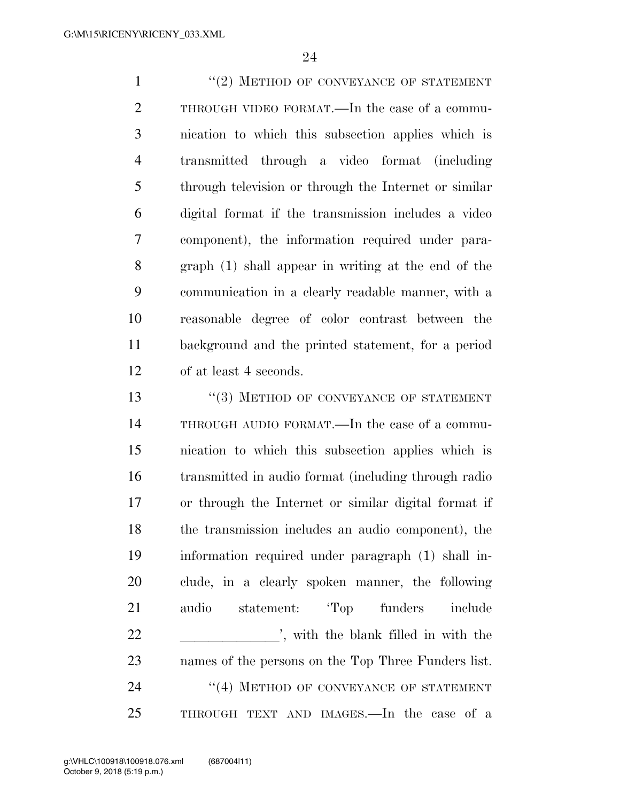1 ''(2) METHOD OF CONVEYANCE OF STATEMENT THROUGH VIDEO FORMAT.—In the case of a commu- nication to which this subsection applies which is transmitted through a video format (including through television or through the Internet or similar digital format if the transmission includes a video component), the information required under para- graph (1) shall appear in writing at the end of the communication in a clearly readable manner, with a reasonable degree of color contrast between the background and the printed statement, for a period of at least 4 seconds.

13 <sup>''</sup>(3) METHOD OF CONVEYANCE OF STATEMENT THROUGH AUDIO FORMAT.—In the case of a commu- nication to which this subsection applies which is transmitted in audio format (including through radio or through the Internet or similar digital format if the transmission includes an audio component), the information required under paragraph (1) shall in- clude, in a clearly spoken manner, the following audio statement: 'Top funders include 22 is in with the blank filled in with the names of the persons on the Top Three Funders list. 24 "(4) METHOD OF CONVEYANCE OF STATEMENT THROUGH TEXT AND IMAGES.—In the case of a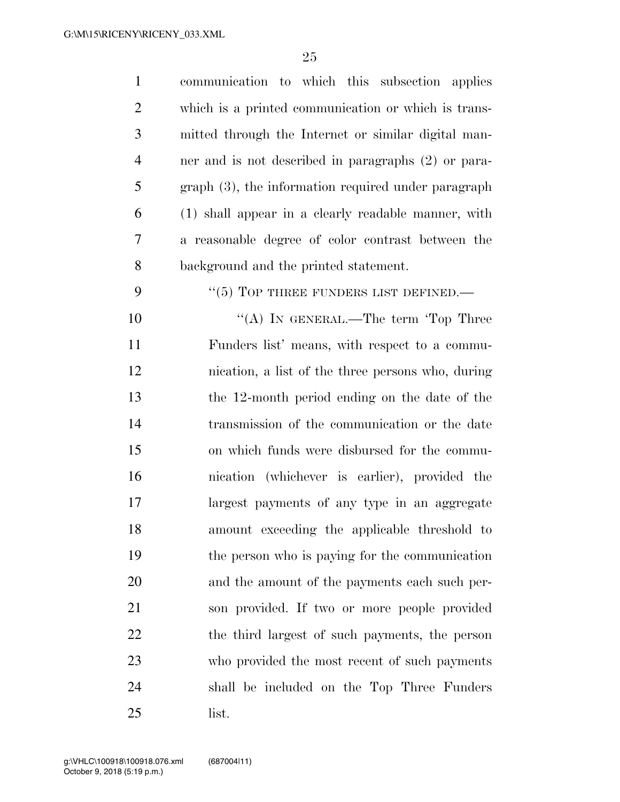| $\mathbf{1}$   | communication to which this subsection applies        |
|----------------|-------------------------------------------------------|
| $\overline{2}$ | which is a printed communication or which is trans-   |
| 3              | mitted through the Internet or similar digital man-   |
| $\overline{4}$ | ner and is not described in paragraphs (2) or para-   |
| 5              | $graph(3)$ , the information required under paragraph |
| 6              | (1) shall appear in a clearly readable manner, with   |
| 7              | a reasonable degree of color contrast between the     |
| 8              | background and the printed statement.                 |
| 9              | $``(5)$ TOP THREE FUNDERS LIST DEFINED.—              |
| 10             | "(A) IN GENERAL.—The term 'Top Three                  |
| 11             | Funders list' means, with respect to a commu-         |
| 12             | nication, a list of the three persons who, during     |
| 13             | the 12-month period ending on the date of the         |
| 14             | transmission of the communication or the date         |
| 15             | on which funds were disbursed for the commu-          |
| 16             | nication (whichever is earlier), provided the         |
| 17             | largest payments of any type in an aggregate          |
| 18             | amount exceeding the applicable threshold to          |
| 19             | the person who is paying for the communication        |
| 20             | and the amount of the payments each such per-         |
| 21             | son provided. If two or more people provided          |
| 22             | the third largest of such payments, the person        |
| 23             | who provided the most recent of such payments         |
| 24             | shall be included on the Top Three Funders            |
| 25             | list.                                                 |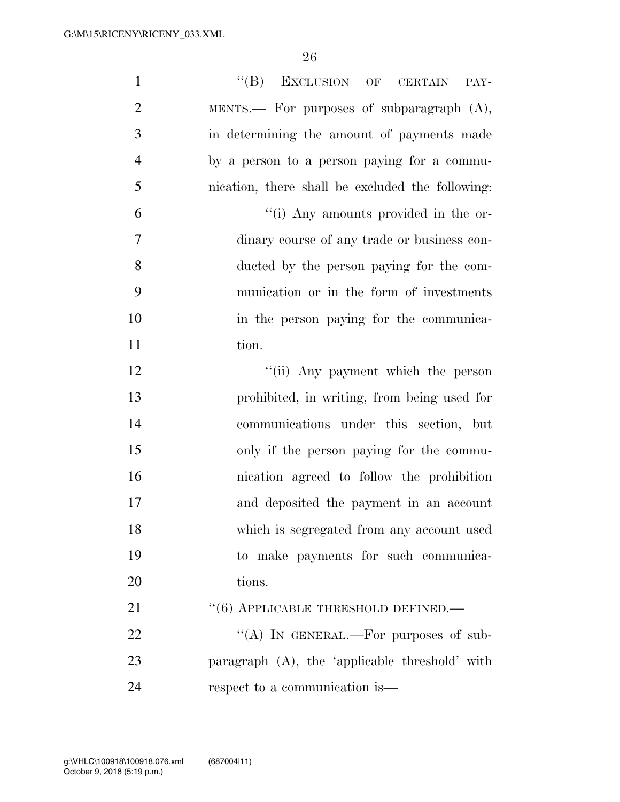| $\mathbf{1}$   | "(B) EXCLUSION OF CERTAIN PAY-                   |
|----------------|--------------------------------------------------|
| $\overline{2}$ | MENTS. For purposes of subparagraph $(A)$ ,      |
| 3              | in determining the amount of payments made       |
| $\overline{4}$ | by a person to a person paying for a commu-      |
| 5              | nication, there shall be excluded the following: |
| 6              | "(i) Any amounts provided in the or-             |
| $\tau$         | dinary course of any trade or business con-      |
| 8              | ducted by the person paying for the com-         |
| 9              | munication or in the form of investments         |
| 10             | in the person paying for the communica-          |
| 11             | tion.                                            |
| 12             | "(ii) Any payment which the person               |
| 13             | prohibited, in writing, from being used for      |
| 14             | communications under this section, but           |
| 15             | only if the person paying for the commu-         |
| 16             | nication agreed to follow the prohibition        |
| 17             | and deposited the payment in an account          |
| 18             | which is segregated from any account used        |
| 19             | to make payments for such communica-             |
| 20             | tions.                                           |
| 21             | $\cdot\cdot$ (6) APPLICABLE THRESHOLD DEFINED.—  |
| 22             | "(A) IN GENERAL.—For purposes of sub-            |
| 23             | paragraph (A), the 'applicable threshold' with   |
| 24             | respect to a communication is—                   |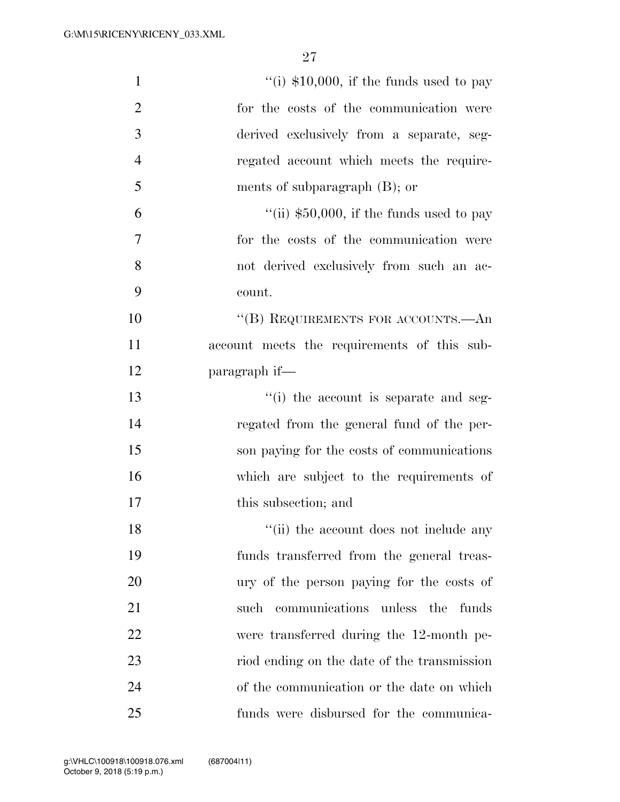| $\mathbf{1}$   | "(i) $$10,000$ , if the funds used to pay   |
|----------------|---------------------------------------------|
| $\overline{2}$ | for the costs of the communication were     |
| 3              | derived exclusively from a separate, seg-   |
| $\overline{4}$ | regated account which meets the require-    |
| 5              | ments of subparagraph $(B)$ ; or            |
| 6              | "(ii) $$50,000$ , if the funds used to pay  |
| 7              | for the costs of the communication were     |
| 8              | not derived exclusively from such an ac-    |
| 9              | count.                                      |
| 10             | "(B) REQUIREMENTS FOR ACCOUNTS.—An          |
| 11             | account meets the requirements of this sub- |
| 12             | paragraph if—                               |
| 13             | "(i) the account is separate and seg-       |
| 14             | regated from the general fund of the per-   |
| 15             | son paying for the costs of communications  |
| 16             | which are subject to the requirements of    |
| 17             | this subsection; and                        |
| 18             | "(ii) the account does not include any      |
| 19             | funds transferred from the general treas-   |
| 20             | ury of the person paying for the costs of   |
| 21             | such communications unless the funds        |
| 22             | were transferred during the 12-month pe-    |
| 23             | riod ending on the date of the transmission |
| 24             | of the communication or the date on which   |
| 25             | funds were disbursed for the communica-     |